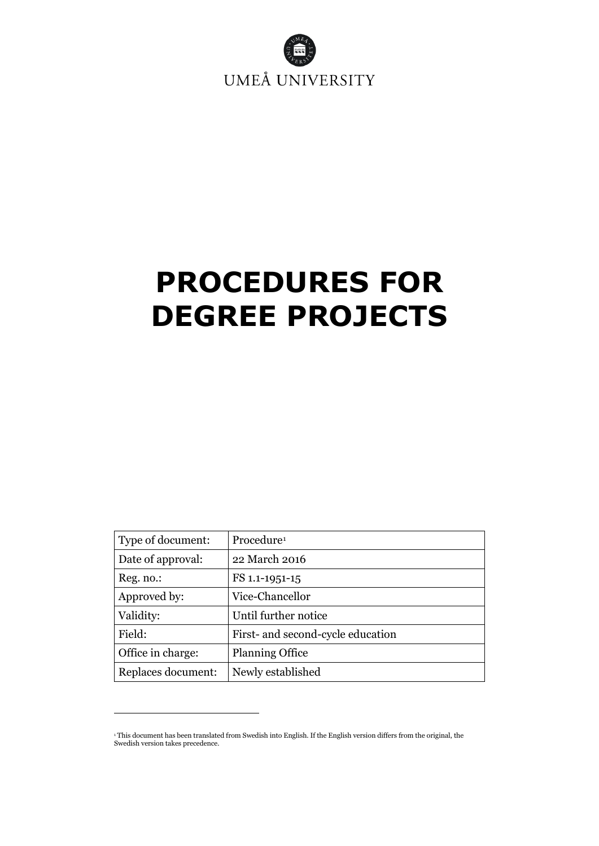

# **PROCEDURES FOR DEGREE PROJECTS**

| Type of document:  | Procedure <sup>1</sup>            |
|--------------------|-----------------------------------|
| Date of approval:  | 22 March 2016                     |
| Reg. no.:          | FS 1.1-1951-15                    |
| Approved by:       | Vice-Chancellor                   |
| Validity:          | Until further notice              |
| Field:             | First- and second-cycle education |
| Office in charge:  | <b>Planning Office</b>            |
| Replaces document: | Newly established                 |

<span id="page-0-0"></span><sup>1</sup> This document has been translated from Swedish into English. If the English version differs from the original, the Swedish version takes precedence.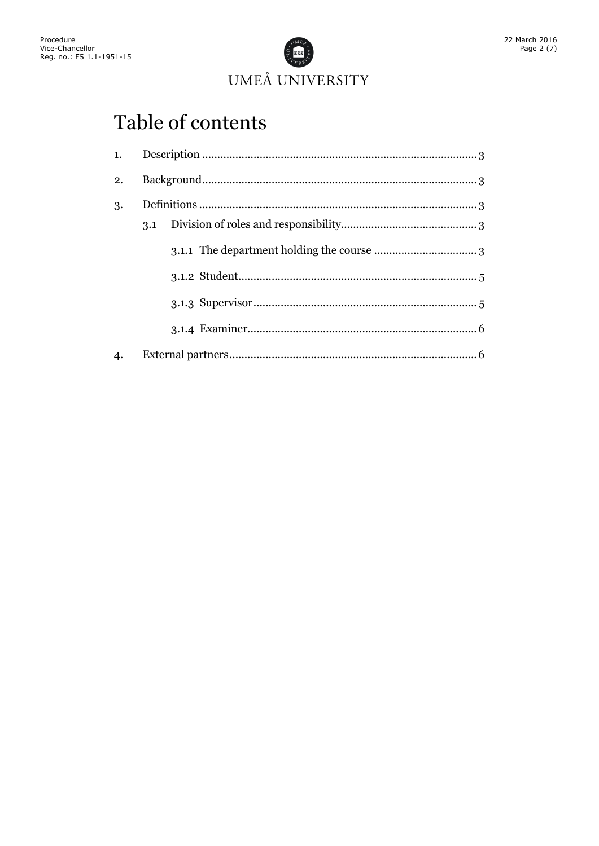

# Table of contents

| 1. |     |  |  |
|----|-----|--|--|
| 2. |     |  |  |
| 3. | 3.1 |  |  |
|    |     |  |  |
|    |     |  |  |
|    |     |  |  |
|    |     |  |  |
| 4. |     |  |  |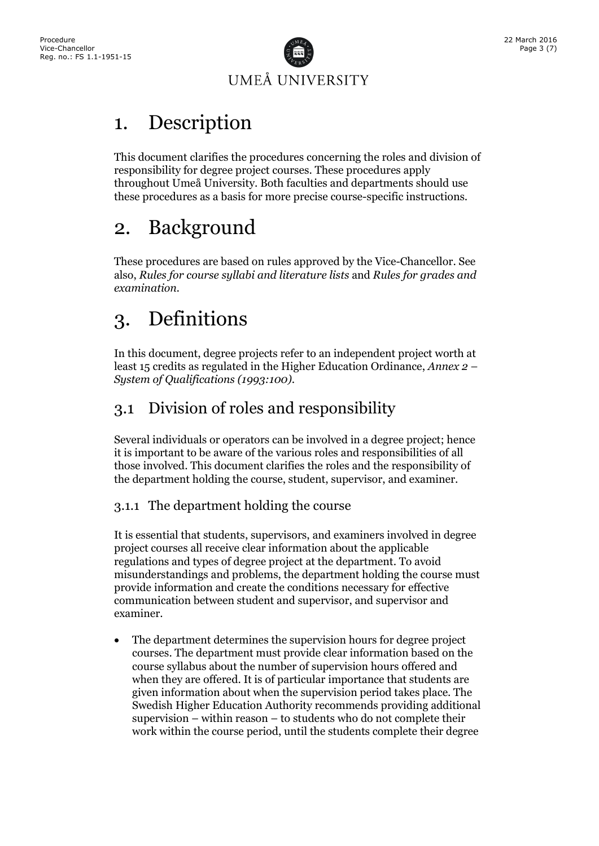

### <span id="page-2-0"></span>1. Description

This document clarifies the procedures concerning the roles and division of responsibility for degree project courses. These procedures apply throughout Umeå University. Both faculties and departments should use these procedures as a basis for more precise course-specific instructions.

### <span id="page-2-1"></span>2. Background

These procedures are based on rules approved by the Vice-Chancellor. See also, *Rules for course syllabi and literature lists* and *Rules for grades and examination.*

# <span id="page-2-2"></span>3. Definitions

In this document, degree projects refer to an independent project worth at least 15 credits as regulated in the Higher Education Ordinance, *Annex 2 – System of Qualifications (1993:100)*.

### <span id="page-2-3"></span>3.1 Division of roles and responsibility

Several individuals or operators can be involved in a degree project; hence it is important to be aware of the various roles and responsibilities of all those involved. This document clarifies the roles and the responsibility of the department holding the course, student, supervisor, and examiner.

#### <span id="page-2-4"></span>3.1.1 The department holding the course

It is essential that students, supervisors, and examiners involved in degree project courses all receive clear information about the applicable regulations and types of degree project at the department. To avoid misunderstandings and problems, the department holding the course must provide information and create the conditions necessary for effective communication between student and supervisor, and supervisor and examiner.

• The department determines the supervision hours for degree project courses. The department must provide clear information based on the course syllabus about the number of supervision hours offered and when they are offered. It is of particular importance that students are given information about when the supervision period takes place. The Swedish Higher Education Authority recommends providing additional supervision – within reason – to students who do not complete their work within the course period, until the students complete their degree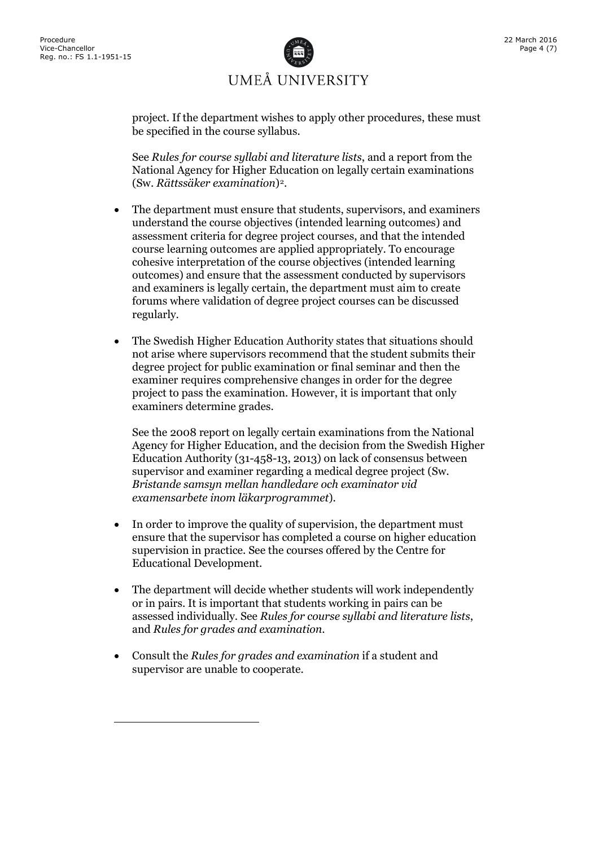

project. If the department wishes to apply other procedures, these must be specified in the course syllabus.

See *Rules for course syllabi and literature lists*, and a report from the National Agency for Higher Education on legally certain examinations (Sw. *Rättssäker examination*)[2](#page-3-0).

- The department must ensure that students, supervisors, and examiners understand the course objectives (intended learning outcomes) and assessment criteria for degree project courses, and that the intended course learning outcomes are applied appropriately. To encourage cohesive interpretation of the course objectives (intended learning outcomes) and ensure that the assessment conducted by supervisors and examiners is legally certain, the department must aim to create forums where validation of degree project courses can be discussed regularly.
- The Swedish Higher Education Authority states that situations should not arise where supervisors recommend that the student submits their degree project for public examination or final seminar and then the examiner requires comprehensive changes in order for the degree project to pass the examination. However, it is important that only examiners determine grades.

See the 2008 report on legally certain examinations from the National Agency for Higher Education, and the decision from the Swedish Higher Education Authority (31-458-13, 2013) on lack of consensus between supervisor and examiner regarding a medical degree project (Sw. *Bristande samsyn mellan handledare och examinator vid examensarbete inom läkarprogrammet*).

- In order to improve the quality of supervision, the department must ensure that the supervisor has completed a course on higher education supervision in practice. See the courses offered by the Centre for Educational Development.
- The department will decide whether students will work independently or in pairs. It is important that students working in pairs can be assessed individually. See *Rules for course syllabi and literature lists*, and *Rules for grades and examination*.
- <span id="page-3-0"></span>• Consult the *Rules for grades and examination* if a student and supervisor are unable to cooperate.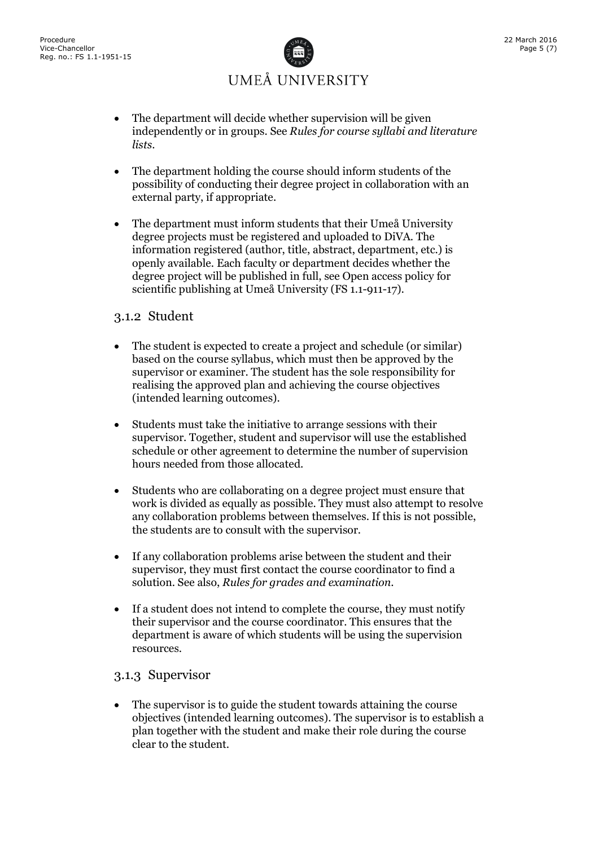

- The department will decide whether supervision will be given independently or in groups. See *Rules for course syllabi and literature lists*.
- The department holding the course should inform students of the possibility of conducting their degree project in collaboration with an external party, if appropriate.
- The department must inform students that their Umeå University degree projects must be registered and uploaded to DiVA. The information registered (author, title, abstract, department, etc.) is openly available. Each faculty or department decides whether the degree project will be published in full, see Open access policy for scientific publishing at Umeå University (FS 1.1-911-17)*.*

#### <span id="page-4-0"></span>3.1.2 Student

- The student is expected to create a project and schedule (or similar) based on the course syllabus, which must then be approved by the supervisor or examiner. The student has the sole responsibility for realising the approved plan and achieving the course objectives (intended learning outcomes).
- Students must take the initiative to arrange sessions with their supervisor. Together, student and supervisor will use the established schedule or other agreement to determine the number of supervision hours needed from those allocated.
- Students who are collaborating on a degree project must ensure that work is divided as equally as possible. They must also attempt to resolve any collaboration problems between themselves. If this is not possible, the students are to consult with the supervisor.
- If any collaboration problems arise between the student and their supervisor, they must first contact the course coordinator to find a solution. See also, *Rules for grades and examination*.
- If a student does not intend to complete the course, they must notify their supervisor and the course coordinator. This ensures that the department is aware of which students will be using the supervision resources.

#### <span id="page-4-1"></span>3.1.3 Supervisor

• The supervisor is to guide the student towards attaining the course objectives (intended learning outcomes). The supervisor is to establish a plan together with the student and make their role during the course clear to the student.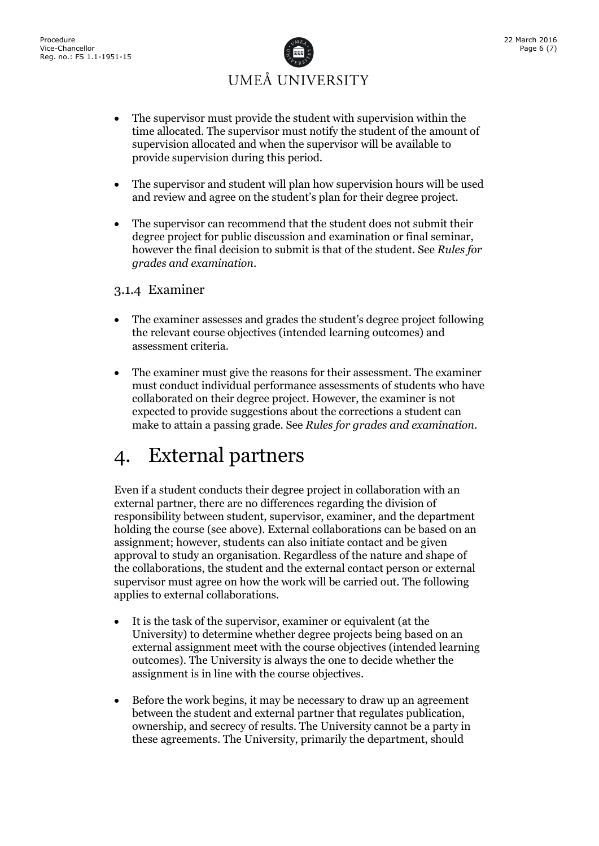

- The supervisor must provide the student with supervision within the time allocated. The supervisor must notify the student of the amount of supervision allocated and when the supervisor will be available to provide supervision during this period.
- The supervisor and student will plan how supervision hours will be used and review and agree on the student's plan for their degree project.
- The supervisor can recommend that the student does not submit their degree project for public discussion and examination or final seminar, however the final decision to submit is that of the student. See *Rules for grades and examination*.

#### <span id="page-5-0"></span>3.1.4 Examiner

- The examiner assesses and grades the student's degree project following the relevant course objectives (intended learning outcomes) and assessment criteria.
- The examiner must give the reasons for their assessment. The examiner must conduct individual performance assessments of students who have collaborated on their degree project. However, the examiner is not expected to provide suggestions about the corrections a student can make to attain a passing grade. See *Rules for grades and examination*.

### <span id="page-5-1"></span>4. External partners

Even if a student conducts their degree project in collaboration with an external partner, there are no differences regarding the division of responsibility between student, supervisor, examiner, and the department holding the course (see above). External collaborations can be based on an assignment; however, students can also initiate contact and be given approval to study an organisation. Regardless of the nature and shape of the collaborations, the student and the external contact person or external supervisor must agree on how the work will be carried out. The following applies to external collaborations.

- It is the task of the supervisor, examiner or equivalent (at the University) to determine whether degree projects being based on an external assignment meet with the course objectives (intended learning outcomes). The University is always the one to decide whether the assignment is in line with the course objectives.
- Before the work begins, it may be necessary to draw up an agreement between the student and external partner that regulates publication, ownership, and secrecy of results. The University cannot be a party in these agreements. The University, primarily the department, should